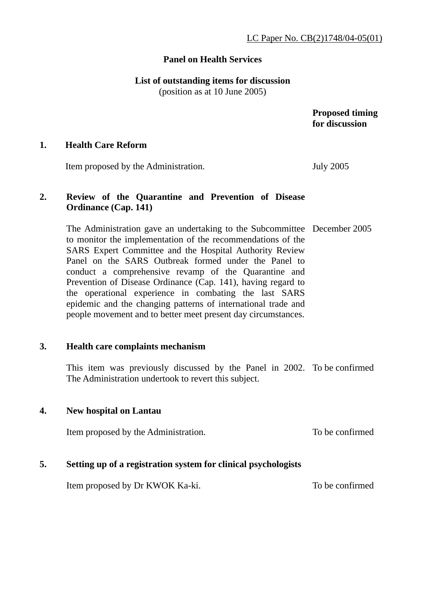# **Panel on Health Services**

# **List of outstanding items for discussion**

(position as at 10 June 2005)

 **Proposed timing for discussion** 

#### **1. Health Care Reform**

Item proposed by the Administration. July 2005

# **2. Review of the Quarantine and Prevention of Disease Ordinance (Cap. 141)**

The Administration gave an undertaking to the Subcommittee December 2005 to monitor the implementation of the recommendations of the SARS Expert Committee and the Hospital Authority Review Panel on the SARS Outbreak formed under the Panel to conduct a comprehensive revamp of the Quarantine and Prevention of Disease Ordinance (Cap. 141), having regard to the operational experience in combating the last SARS epidemic and the changing patterns of international trade and people movement and to better meet present day circumstances.

## **3. Health care complaints mechanism**

This item was previously discussed by the Panel in 2002. To be confirmed The Administration undertook to revert this subject.

## **4. New hospital on Lantau**

Item proposed by the Administration. To be confirmed

## **5. Setting up of a registration system for clinical psychologists**

Item proposed by Dr KWOK Ka-ki.

To be confirmed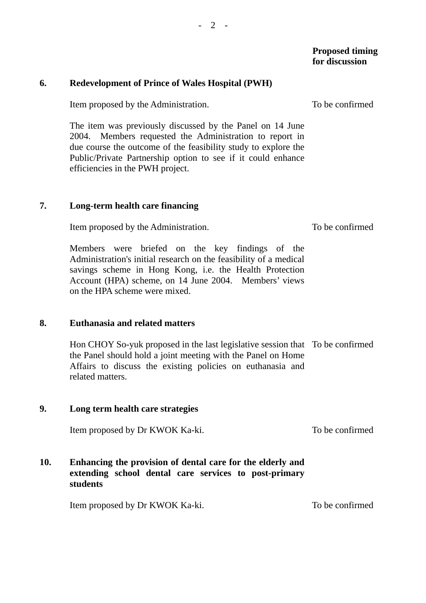#### **Proposed timing for discussion**

#### **6. Redevelopment of Prince of Wales Hospital (PWH)**

Item proposed by the Administration.

The item was previously discussed by the Panel on 14 June 2004. Members requested the Administration to report in due course the outcome of the feasibility study to explore the Public/Private Partnership option to see if it could enhance efficiencies in the PWH project.

#### **7. Long-term health care financing**

Item proposed by the Administration.

Members were briefed on the key findings of the Administration's initial research on the feasibility of a medical savings scheme in Hong Kong, i.e. the Health Protection Account (HPA) scheme, on 14 June 2004. Members' views on the HPA scheme were mixed.

#### **8. Euthanasia and related matters**

Hon CHOY So-yuk proposed in the last legislative session that To be confirmed the Panel should hold a joint meeting with the Panel on Home Affairs to discuss the existing policies on euthanasia and related matters.

#### **9. Long term health care strategies**

Item proposed by Dr KWOK Ka-ki. To be confirmed

## **10. Enhancing the provision of dental care for the elderly and extending school dental care services to post-primary students**

Item proposed by Dr KWOK Ka-ki. To be confirmed

To be confirmed

To be confirmed